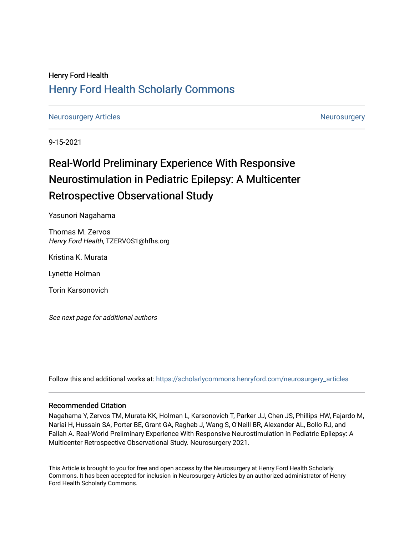## Henry Ford Health [Henry Ford Health Scholarly Commons](https://scholarlycommons.henryford.com/)

[Neurosurgery Articles](https://scholarlycommons.henryford.com/neurosurgery_articles) **[Neurosurgery](https://scholarlycommons.henryford.com/neurosurgery) Articles** Neurosurgery Neurosurgery

9-15-2021

# Real-World Preliminary Experience With Responsive Neurostimulation in Pediatric Epilepsy: A Multicenter Retrospective Observational Study

Yasunori Nagahama

Thomas M. Zervos Henry Ford Health, TZERVOS1@hfhs.org

Kristina K. Murata

Lynette Holman

Torin Karsonovich

See next page for additional authors

Follow this and additional works at: [https://scholarlycommons.henryford.com/neurosurgery\\_articles](https://scholarlycommons.henryford.com/neurosurgery_articles?utm_source=scholarlycommons.henryford.com%2Fneurosurgery_articles%2F418&utm_medium=PDF&utm_campaign=PDFCoverPages) 

## Recommended Citation

Nagahama Y, Zervos TM, Murata KK, Holman L, Karsonovich T, Parker JJ, Chen JS, Phillips HW, Fajardo M, Nariai H, Hussain SA, Porter BE, Grant GA, Ragheb J, Wang S, O'Neill BR, Alexander AL, Bollo RJ, and Fallah A. Real-World Preliminary Experience With Responsive Neurostimulation in Pediatric Epilepsy: A Multicenter Retrospective Observational Study. Neurosurgery 2021.

This Article is brought to you for free and open access by the Neurosurgery at Henry Ford Health Scholarly Commons. It has been accepted for inclusion in Neurosurgery Articles by an authorized administrator of Henry Ford Health Scholarly Commons.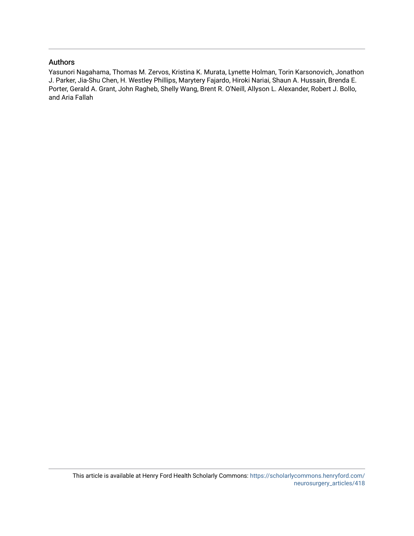## Authors

Yasunori Nagahama, Thomas M. Zervos, Kristina K. Murata, Lynette Holman, Torin Karsonovich, Jonathon J. Parker, Jia-Shu Chen, H. Westley Phillips, Marytery Fajardo, Hiroki Nariai, Shaun A. Hussain, Brenda E. Porter, Gerald A. Grant, John Ragheb, Shelly Wang, Brent R. O'Neill, Allyson L. Alexander, Robert J. Bollo, and Aria Fallah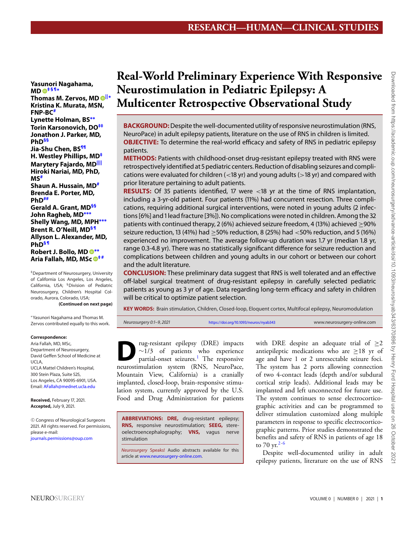**Yasunori Nagahama, MD [‡](#page-2-0)[§](#page-2-1)[¶](#page-3-0)<sup>∗</sup>**

**Thomas M. Zervos, MD [||](#page-3-1)<sup>∗</sup> Kristina K. Murata, MSN, FNP-B[C#](#page-3-2) Lynette Holman, BS[∗∗](#page-3-3) Torin Karsonovich, D[O‡‡](#page-3-4) Jonathon J. Parker, MD, Ph[D§§](#page-3-5) Jia-Shu Chen, B[S¶¶](#page-3-6) H. Westley Phillips, M[D‡](#page-2-0) Marytery Fajardo, M[D||||](#page-3-7) Hiroki Nariai, MD, PhD, MS[#](#page-3-2) Shaun A. Hussain, M[D#](#page-3-2) Brenda E. Porter, MD, Ph[D##](#page-3-8) Gerald A. Grant, M[D§§](#page-3-5) John Ragheb, MD[∗∗∗](#page-3-9) Shelly Wang, MD, MPH[∗∗∗](#page-3-9) Brent R. O'Neill, M[D§](#page-2-1) [¶](#page-3-0) Allyson L. Alexander, MD, Ph[D§](#page-2-1) [¶](#page-3-0) Robert J. Bollo, MD [∗∗](#page-3-3) Aria Fallah, MD, MSc [‡](#page-2-0) [#](#page-3-2)**

<span id="page-2-0"></span>‡Department of Neurosurgery, University of California Los Angeles, Los Angeles, California, USA; §Division of Pediatric Neurosurgery, Children's Hospital Colorado, Aurora, Colorado, USA; **(Continued on next page)**

<span id="page-2-1"></span>

∗Yasunori Nagahama and Thomas M. Zervos contributed equally to this work.

#### **Correspondence:**

Aria Fallah, MD, MSc, Department of Neurosurgery, David Geffen School of Medicine at UCLA, UCLA Mattel Children's Hospital, 300 Stein Plaza, Suite 525, Los Angeles, CA 90095-6901, USA. Email: [AFallah@mednet.ucla.edu](mailto:AFallah@mednet.ucla.edu)

**Received,** February 17, 2021. **Accepted,** July 9, 2021.

<sup>C</sup> Congress of Neurological Surgeons 2021. All rights reserved. For permissions, please e-mail: [journals.permissions@oup.com](mailto:journals.permissions@oup.com)

## **Real-World Preliminary Experience With Responsive Neurostimulation in Pediatric Epilepsy: A Multicenter Retrospective Observational Study**

**BACKGROUND:**Despite the well-documented utility of responsive neurostimulation (RNS, NeuroPace) in adult epilepsy patients, literature on the use of RNS in children is limited. **OBJECTIVE:** To determine the real-world efficacy and safety of RNS in pediatric epilepsy patients.

**METHODS:** Patients with childhood-onset drug-resistant epilepsy treated with RNS were retrospectively identified at 5 pediatric centers. Reduction of disabling seizures and complications were evaluated for children  $\left($  < 18 yr) and young adults ( $>$ 18 yr) and compared with prior literature pertaining to adult patients.

**RESULTS:** Of 35 patients identified, 17 were <18 yr at the time of RNS implantation, including a 3-yr-old patient. Four patients (11%) had concurrent resection. Three complications, requiring additional surgical interventions, were noted in young adults (2 infections [6%] and 1 lead fracture [3%]). No complications were noted in children. Among the 32 patients with continued therapy, 2 (6%) achieved seizure freedom, 4 (13%) achieved  $\geq$ 90% seizure reduction, 13 (41%) had  $\geq$ 50% reduction, 8 (25%) had  $\lt$ 50% reduction, and 5 (16%) experienced no improvement. The average follow-up duration was 1.7 yr (median 1.8 yr, range 0.3-4.8 yr). There was no statistically significant difference for seizure reduction and complications between children and young adults in our cohort or between our cohort and the adult literature.

**CONCLUSION:** These preliminary data suggest that RNS is well tolerated and an effective off-label surgical treatment of drug-resistant epilepsy in carefully selected pediatric patients as young as 3 yr of age. Data regarding long-term efficacy and safety in children will be critical to optimize patient selection.

**KEY WORDS:** Brain stimulation, Children, Closed-loop, Eloquent cortex, Multifocal epilepsy, Neuromodulation

Neurosurgery 0:1–9, 2021 <https://doi.org/10.1093/neuros/nyab343> www.neurosurgery-online.com

 $\sum_{\text{val/3}}$  rug-resistant epilepsy (DRE) impacts<br>partial-onset seizures.<sup>1</sup> The responsive  $\sim$ 1/3 of patients who experience partial-onset seizures.<sup>[1](#page-9-0)</sup> The responsive neurostimulation system (RNS, NeuroPace, Mountain View, California) is a cranially implanted, closed-loop, brain-responsive stimulation system, currently approved by the U.S. Food and Drug Administration for patients

**ABBREVIATIONS: DRE,** drug-resistant epilepsy; **RNS,** responsive neurostimulation; **SEEG,** stereoelectroencephalography; **VNS,** vagus nerve stimulation

Neurosurgery Speaks! Audio abstracts available for this article at [www.neurosurgery-online.com.](https://academic.oup.com/neurosurgery/article-lookup/doi/10.1093/neuros/nyab343)

with DRE despite an adequate trial of  $\geq 2$ antiepileptic medications who are  $\geq$ 18 yr of age and have 1 or 2 unresectable seizure foci. The system has 2 ports allowing connection of two 4-contact leads (depth and/or subdural cortical strip leads). Additional leads may be implanted and left unconnected for future use. The system continues to sense electrocorticographic activities and can be programmed to deliver stimulation customized along multiple parameters in response to specific electrocorticographic patterns. Prior studies demonstrated the benefits and safety of RNS in patients of age 18 to 70 yr.<sup>[2-](#page-9-1)[6](#page-9-2)</sup>

Despite well-documented utility in adult epilepsy patients, literature on the use of RNS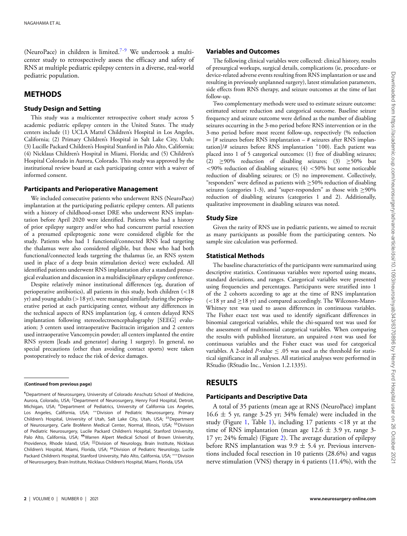(NeuroPace) in children is limited.[7-](#page-9-3)[9](#page-9-4) We undertook a multicenter study to retrospectively assess the efficacy and safety of RNS at multiple pediatric epilepsy centers in a diverse, real-world pediatric population.

## **METHODS**

#### **Study Design and Setting**

This study was a multicenter retrospective cohort study across 5 academic pediatric epilepsy centers in the United States. The study centers include (1) UCLA Mattel Children's Hospital in Los Angeles, California; (2) Primary Children's Hospital in Salt Lake City, Utah; (3) Lucille Packard Children's Hospital Stanford in Palo Alto, California; (4) Nicklaus Children's Hospital in Miami, Florida; and (5) Children's Hospital Colorado in Aurora, Colorado. This study was approved by the institutional review board at each participating center with a waiver of informed consent.

#### **Participants and Perioperative Management**

We included consecutive patients who underwent RNS (NeuroPace) implantation at the participating pediatric epilepsy centers. All patients with a history of childhood-onset DRE who underwent RNS implantation before April 2020 were identified. Patients who had a history of prior epilepsy surgery and/or who had concurrent partial resection of a presumed epileptogenic zone were considered eligible for the study. Patients who had 1 functional/connected RNS lead targeting the thalamus were also considered eligible, but those who had both functional/connected leads targeting the thalamus (ie, an RNS system used in place of a deep brain stimulation device) were excluded. All identified patients underwent RNS implantation after a standard presurgical evaluation and discussion in a multidisciplinary epilepsy conference.

Despite relatively minor institutional differences (eg, duration of perioperative antibiotics), all patients in this study, both children (<18 yr) and young adults (>18 yr), were managed similarly during the perioperative period at each participating center, without any differences in the technical aspects of RNS implantation (eg, 4 centers delayed RNS implantation following stereoelectroencephalography [SEEG] evaluation; 3 centers used intraoperative Bacitracin irrigation and 2 centers used intraoperative Vancomycin powder; all centers implanted the entire RNS system [leads and generator] during 1 surgery). In general, no special precautions (other than avoiding contact sports) were taken postoperatively to reduce the risk of device damages.

#### <span id="page-3-0"></span>**(Continued from previous page)**

<span id="page-3-8"></span><span id="page-3-7"></span><span id="page-3-6"></span><span id="page-3-3"></span><span id="page-3-2"></span><span id="page-3-1"></span>¶Department of Neurosurgery, University of Colorado Anschutz School of Medicine, Aurora, Colorado, USA; <sup>||</sup>Department of Neurosurgery, Henry Ford Hospital, Detroit, Michigan, USA; #Department of Pediatrics, University of California Los Angeles, Los Angeles, California, USA; ∗∗Division of Pediatric Neurosurgery, Primary Children's Hospital, University of Utah, Salt Lake City, Utah, USA; #Department of Neurosurgery, Carle BroMenn Medical Center, Normal, Illinois, USA; <sup>§§</sup>Division of Pediatric Neurosurgery, Lucile Packard Children's Hospital, Stanford University, Palo Alto, California, USA; <sup>11</sup>Warren Alpert Medical School of Brown University, Providence, Rhode Island, USA; <sup>||||</sup>Division of Neurology, Brain Institute, Nicklaus Children's Hospital, Miami, Florida, USA; ##Division of Pediatric Neurology, Lucile Packard Children's Hospital, Stanford University, Palo Alto, California, USA; \*\*\*Division of Neurosurgery, Brain Institute, Nicklaus Children's Hospital, Miami, Florida, USA

#### **Variables and Outcomes**

The following clinical variables were collected: clinical history, results of presurgical workups, surgical details, complications (ie, procedure- or device-related adverse events resulting from RNS implantation or use and resulting in previously unplanned surgery), latest stimulation parameters, side effects from RNS therapy, and seizure outcomes at the time of last follow-up.

Two complementary methods were used to estimate seizure outcome: estimated seizure reduction and categorical outcome. Baseline seizure frequency and seizure outcome were defined as the number of disabling seizures occurring in the 3-mo period before RNS intervention or in the 3-mo period before most recent follow-up, respectively (% reduction  $=$  [# seizures before RNS implantation – # seizures after RNS implantation]/# seizures before RNS implantation <sup>∗</sup>100). Each patient was placed into 1 of 5 categorical outcomes: (1) free of disabling seizures; (2) ≥90% reduction of disabling seizures; (3) ≥50% but  $<$ 90% reduction of disabling seizures; (4)  $<$  50% but some noticeable reduction of disabling seizures; or (5) no improvement. Collectively, "responders" were defined as patients with  $\geq$ 50% reduction of disabling seizures (categories 1-3), and "super-responders" as those with  $\geq$ 90% reduction of disabling seizures (categories 1 and 2). Additionally, qualitative improvement in disabling seizures was noted.

#### **Study Size**

Given the rarity of RNS use in pediatric patients, we aimed to recruit as many participants as possible from the participating centers. No sample size calculation was performed.

#### **Statistical Methods**

The baseline characteristics of the participants were summarized using descriptive statistics. Continuous variables were reported using means, standard deviations, and ranges. Categorical variables were presented using frequencies and percentages. Participants were stratified into 1 of the 2 cohorts according to age at the time of RNS implantation  $\approx$  18 yr and  $\geq$ 18 yr) and compared accordingly. The Wilcoxon-Mann-Whitney test was used to assess differences in continuous variables. The Fisher exact test was used to identify significant differences in binomial categorical variables, while the chi-squared test was used for the assessment of multinomial categorical variables. When comparing the results with published literature, an unpaired *t*-test was used for continuous variables and the Fisher exact was used for categorical variables. A 2-sided *P*-value  $\leq$  .05 was used as the threshold for statistical significance in all analyses. All statistical analyses were performed in RStudio (RStudio Inc., Version 1.2.1335).

## **RESULTS**

#### **Participants and Descriptive Data**

<span id="page-3-9"></span><span id="page-3-5"></span><span id="page-3-4"></span>A total of 35 patients (mean age at RNS (NeuroPace) implant  $16.6 \pm 5$  yr, range 3-25 yr; 34% female) were included in the study (Figure [1,](#page-4-0) Table [1\)](#page-5-0), including 17 patients <18 yr at the time of RNS implantation (mean age  $12.6 \pm 3.9$  yr, range 3-17 yr; 24% female) (Figure [2\)](#page-6-0). The average duration of epilepsy before RNS implantation was  $9.9 \pm 5.4$  yr. Previous interventions included focal resection in 10 patients (28.6%) and vagus nerve stimulation (VNS) therapy in 4 patients (11.4%), with the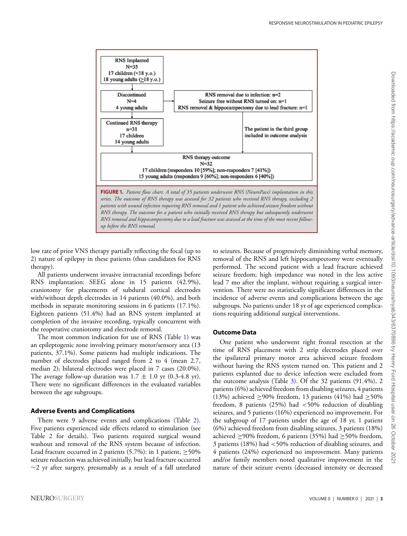<span id="page-4-0"></span>

low rate of prior VNS therapy partially reflecting the focal (up to 2) nature of epilepsy in these patients (thus candidates for RNS therapy).

All patients underwent invasive intracranial recordings before RNS implantation: SEEG alone in 15 patients (42.9%), craniotomy for placements of subdural cortical electrodes with/without depth electrodes in 14 patients (40.0%), and both methods in separate monitoring sessions in 6 patients (17.1%). Eighteen patients (51.4%) had an RNS system implanted at completion of the invasive recording, typically concurrent with the reoperative craniotomy and electrode removal.

The most common indication for use of RNS (Table [1\)](#page-5-0) was an epileptogenic zone involving primary motor/sensory area (13 patients[,](#page-6-0) 37.1%). Some patients had multiple indications. The number of electrodes placed ranged from 2 to 4 (mean 2.7, median 2); bilateral electrodes were placed in 7 cases (20.0%). The average follow-up duration was  $1.7 \pm 1.0$  yr  $(0.3-4.8 \text{ yr})$ . There were no significant differences in the evaluated variables between the age subgroups.

#### **Adverse Events and Complications**

There were 9 adverse events and complications (Table [2\)](#page-7-0). Five patients experienced side effects related to stimulation (see Table [2](#page-7-0) for details). Two patients required surgical wound washout and removal of the RNS system because of infection. Lead fracture occurred in 2 patients (5.7%): in 1 patient,  $\geq$ 50% seizure reduction was achieved initially, but lead fracture occurred  $∼2$  yr after surgery, presumably as a result of a fall unrelated

to seizures. Because of progressively diminishing verbal memory, removal of the RNS and left hippocampectomy were eventually performed. The second patient with a lead fracture achieved seizure freedom; high impedance was noted in the less active lead 7 mo after the implant, without requiring a surgical intervention. There were no statistically significant differences in the incidence of adverse events and complications between the age subgroups. No patients under 18 yr of age experienced complications requiring additional surgical interventions.

#### **Outcome Data**

One patient who underwent right frontal resection at the time of RNS placement with 2 strip electrodes placed over the ipsilateral primary motor area achieved seizure freedom without having the RNS system turned on. This patient and 2 patients explanted due to device infection were excluded from the outcome analysis (Table [3\)](#page-7-1). Of the 32 patients (91.4%), 2 patients (6%) achieved freedom from disabling seizures, 4 patients (13%) achieved  $\geq$ 90% freedom, 13 patients (41%) had  $\geq$ 50% freedom, 8 patients (25%) had <50% reduction of disabling seizures, and 5 patients (16%) experienced no improvement. For the subgroup of 17 patients under the age of 18 yr, 1 patient (6%) achieved freedom from disabling seizures, 3 patients (18%) achieved ≥90% freedom, 6 patients (35%) had ≥50% freedom, 3 patients (18%) had <50% reduction of disabling seizures, and 4 patients (24%) experienced no improvement. Many patients and/or family members noted qualitative improvement in the nature of their seizure events (decreased intensity or decreased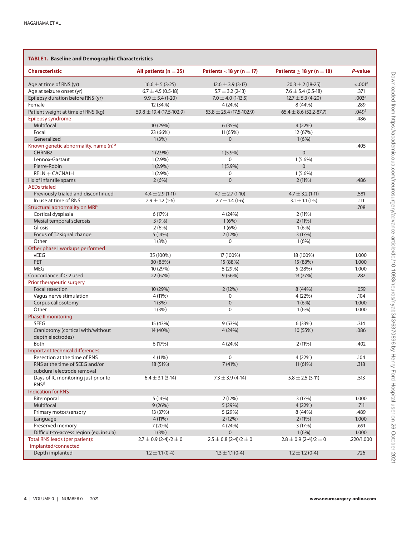<span id="page-5-0"></span>

| <b>TABLE 1. Baseline and Demographic Characteristics</b>     |                               |                               |                                |                   |
|--------------------------------------------------------------|-------------------------------|-------------------------------|--------------------------------|-------------------|
| <b>Characteristic</b>                                        | All patients ( $n = 35$ )     | Patients <18 yr $(n = 17)$    | Patients $\geq$ 18 yr (n = 18) | P-value           |
| Age at time of RNS (yr)                                      | $16.6 \pm 5 (3-25)$           | $12.6 \pm 3.9$ (3-17)         | $20.3 \pm 2 (18 - 25)$         | < 0.001a          |
| Age at seizure onset (yr)                                    | $6.7 \pm 4.5$ (0.5-18)        | $5.7 \pm 3.2$ (2-13)          | $7.6 \pm 5.4$ (0.5-18)         | .371              |
| Epilepsy duration before RNS (yr)                            | $9.9 \pm 5.4$ (1-20)          | $7.0 \pm 4.0$ (1-13.5)        | $12.7 \pm 5.3$ (4-20)          | .003 <sup>a</sup> |
| Female                                                       | 12 (34%)                      | 4 (24%)                       | 8 (44%)                        | .289              |
| Patient weight at time of RNS (kg)                           | $59.8 \pm 19.4$ (17.5-102.9)  | $53.8 \pm 25.4$ (17.5-102.9)  | $65.4 \pm 8.6$ (52.2-87.7)     | .049a             |
| Epilepsy syndrome                                            |                               |                               |                                | .486              |
| Multifocal                                                   | 10 (29%)                      | 6 (35%)                       | 4 (22%)                        |                   |
| Focal                                                        | 23 (66%)                      | 11 (65%)                      | 12 (67%)                       |                   |
| Generalized                                                  | 1(3%)                         | $\mathbf{0}$                  | 1(6%)                          |                   |
| Known genetic abnormality, name (n) <sup>b</sup>             |                               |                               |                                | .405              |
| CHRNB <sub>2</sub>                                           | $1(2.9\%)$                    | $1(5.9\%)$                    | $\mathbf{0}$                   |                   |
| Lennox-Gastaut                                               | $1(2.9\%)$                    | 0                             | $1(5.6\%)$                     |                   |
|                                                              |                               |                               |                                |                   |
| Pierre-Robin                                                 | $1(2.9\%)$                    | $1(5.9\%)$                    | $\overline{0}$                 |                   |
| $RELN + CACNA1H$                                             | $1(2.9\%)$                    | 0                             | $1(5.6\%)$                     |                   |
| Hx of infantile spams                                        | 2(6%)                         | $\mathbf{0}$                  | 2(11%)                         | .486              |
| <b>AEDs trialed</b>                                          |                               |                               |                                |                   |
| Previously trialed and discontinued                          | $4.4 \pm 2.9$ (1-11)          | $4.1 \pm 2.7$ (1-10)          | $4.7 \pm 3.2$ (1-11)           | .581              |
| In use at time of RNS                                        | $2.9 \pm 1.2$ (1-6)           | $2.7 \pm 1.4$ (1-6)           | $3.1 \pm 1.1$ (1-5)            | .111              |
| Structural abnormality on MRIC                               |                               |                               |                                | .708              |
| Cortical dysplasia                                           | 6 (17%)                       | 4 (24%)                       | 2(11%)                         |                   |
| Mesial temporal sclerosis                                    | 3(9%)                         | 1(6%)                         | 2(11%)                         |                   |
| Gliosis                                                      | 2(6%)                         | 1(6%)                         | 1(6%)                          |                   |
| Focus of T2 signal change                                    | 5(14%)                        | 2(12%)                        | 3(17%)                         |                   |
| Other                                                        | 1(3%)                         | 0                             | 1(6%)                          |                   |
| Other phase I workups performed                              |                               |                               |                                |                   |
| vEEG                                                         | 35 (100%)                     | 17 (100%)                     | 18 (100%)                      | 1.000             |
| <b>PET</b>                                                   | 30 (86%)                      | 15 (88%)                      | 15 (83%)                       | 1.000             |
| <b>MEG</b>                                                   | 10 (29%)                      | 5 (29%)                       | 5(28%)                         | 1.000             |
| Concordance if $\geq$ 2 used                                 | 22 (67%)                      | 9(56%)                        | 13 (77%)                       | .282              |
| Prior therapeutic surgery                                    |                               |                               |                                |                   |
| Focal resection                                              | 10 (29%)                      | 2(12%)                        | 8 (44%)                        | .059              |
| Vagus nerve stimulation                                      | 4 (11%)                       | $\mathbf 0$                   | 4 (22%)                        | .104              |
|                                                              |                               | $\mathbf{0}$                  |                                |                   |
| Corpus callosotomy                                           | 1(3%)                         |                               | 1(6%)                          | 1.000             |
| Other                                                        | 1(3%)                         | 0                             | 1(6%)                          | 1.000             |
| Phase II monitoring                                          |                               |                               |                                |                   |
| <b>SEEG</b>                                                  | 15 (43%)                      | 9(53%)                        | 6 (33%)                        | .314              |
| Craniotomy (cortical with/without<br>depth electrodes)       | 14 (40%)                      | 4(24%)                        | 10 (55%)                       | .086              |
| <b>Both</b>                                                  | 6(17%)                        | 4 (24%)                       | 2(11%)                         | .402              |
| Important technical differences                              |                               |                               |                                |                   |
| Resection at the time of RNS                                 | 4 (11%)                       | 0                             | 4 (22%)                        | .104              |
| RNS at the time of SEEG and/or<br>subdural electrode removal | 18 (51%)                      | 7(41%)                        | 11(61%)                        | .318              |
| Days of IC monitoring just prior to<br>RNS <sup>d</sup>      | $6.4 \pm 3.1$ (3-14)          | $7.3 \pm 3.9$ (4-14)          | $5.8 \pm 2.5$ (3-11)           | .513              |
| <b>Indication for RNS</b>                                    |                               |                               |                                |                   |
| Bitemporal                                                   | 5(14%)                        | 2(12%)                        | 3(17%)                         | 1.000             |
| Multifocal                                                   | 9(26%)                        | 5 (29%)                       | 4(22%)                         | .711              |
| Primary motor/sensory                                        | 13 (37%)                      | 5 (29%)                       | 8 (44%)                        | .489              |
| Language                                                     | 4(11%)                        | 2(12%)                        | $2(11\%)$                      | 1.000             |
| Preserved memory                                             |                               |                               |                                | .691              |
|                                                              | 7 (20%)                       | 4 (24%)                       | 3(17%)                         |                   |
| Difficult-to-access region (eg, insula)                      | 1(3%)                         | 0                             | 1(6%)                          | 1.000             |
| Total RNS leads (per patient):                               | $2.7 \pm 0.9$ (2-4)/2 $\pm$ 0 | $2.5 \pm 0.8$ (2-4)/2 $\pm$ 0 | $2.8 \pm 0.9$ (2-4)/2 $\pm$ 0  | .220/1.000        |
| implanted/connected<br>Depth implanted                       | $1.2 \pm 1.1$ (0-4)           | $1.3 \pm 1.1$ (0-4)           | $1.2 \pm 1.2$ (0-4)            | .726              |
|                                                              |                               |                               |                                |                   |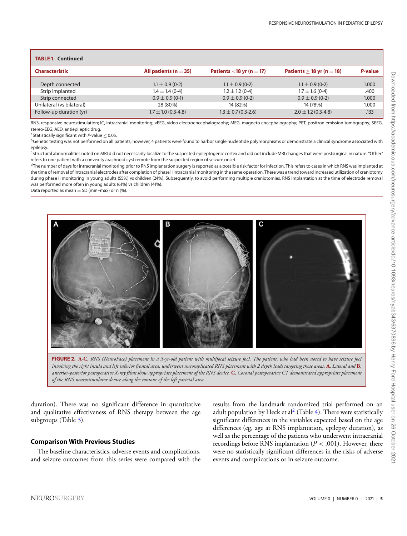<span id="page-6-1"></span>

| <b>TABLE 1. Continued</b> |                           |                             |                             |         |
|---------------------------|---------------------------|-----------------------------|-----------------------------|---------|
| <b>Characteristic</b>     | All patients ( $n = 35$ ) | Patients $<$ 18 yr (n = 17) | Patients $>$ 18 yr (n = 18) | P-value |
| Depth connected           | $1.1 \pm 0.9$ (0-2)       | $1.1 \pm 0.9$ (0-2)         | $1.1 \pm 0.9$ (0-2)         | 1.000   |
| Strip implanted           | $1.4 \pm 1.4$ (0-4)       | $1.2 \pm 1.2$ (0-4)         | $1.7 \pm 1.6$ (0-4)         | .400    |
| Strip connected           | $0.9 \pm 0.9$ (0-1)       | $0.9 \pm 0.9$ (0-2)         | $0.9 \pm 0.9$ (0-2)         | 1.000   |
| Unilateral (vs bilateral) | 28 (80%)                  | 14 (82%)                    | 14 (78%)                    | 1.000   |
| Follow-up duration (yr)   | $1.7 \pm 1.0$ (0.3-4.8)   | $1.3 \pm 0.7$ (0.3-2.6)     | $2.0 \pm 1.2$ (0.3-4.8)     | .133    |

RNS, responsive neurostimulation; IC, intracranial monitoring; vEEG, video electroencephalography; MEG, magneto encephalography; PET, positron emission tomography; SEEG, stereo-EEG; AED, antiepileptic drug.

ªStatistically significant with P-value ≤ 0.05.<br><sup>b</sup>Genetic testing was not performed on all patients; however, 4 patients were found to harbor single nucleotide polymorphisms or demonstrate a clinical syndrome associated epilepsy.

<sup>c</sup>Structural abnormalities noted on MRI did not necessarily localize to the suspected epileptogenic cortex and did not include MRI changes that were postsurgical in nature. "Other" refers to one patient with a convexity arachnoid cyst remote from the suspected region of seizure onset.

<sup>d</sup>The number of days for intracranial monitoring prior to RNS implantation surgery is reported as a possible risk factor for infection. This refers to cases in which RNS was implanted at the time of removal of intracranial electrodes after completion of phase II intracranial monitoring in the same operation. There was a trend toward increased utilization of craniotomy during phase II monitoring in young adults (55%) vs children (24%). Subsequently, to avoid performing multiple craniotomies, RNS implantation at the time of electrode removal was performed more often in young adults (61%) vs children (41%).

Data reported as mean  $+$  SD (min–max) or n  $\frac{96}{6}$ .

<span id="page-6-0"></span>

**FIGURE 2. A***-***C***, RNS (NeuroPace) placement in a 3-yr-old patient with multifocal seizure foci. The patient, who had been noted to have seizure foci involving the right insula and left inferior frontal area, underwent uncomplicated RNS placement with 2 depth leads targeting those areas.* **A***, Lateral and* **B***, anterior-posterior postoperative X-ray films show appropriate placement of the RNS device.* **C***, Coronal postoperative CT demonstrated appropriate placement of the RNS neurostimulator device along the contour of the left parietal area.*

duration). There was no significant difference in quantitative and qualitative effectiveness of RNS therapy between the age subgroups (Table [3\)](#page-7-1).

#### **Comparison With Previous Studies**

The baseline characteristics, adverse events and complications, and seizure outcomes from this series were compared with the results from the landmark randomized trial performed on an adult population by Heck et al<sup>2</sup> (Table [4\)](#page-8-0). There were statistically significant differences in the variables expected based on the age differences (eg, age at RNS implantation, epilepsy duration), as well as the percentage of the patients who underwent intracranial recordings before RNS implantation (*P* < .001). However, there were no statistically significant differences in the risks of adverse events and complications or in seizure outcome.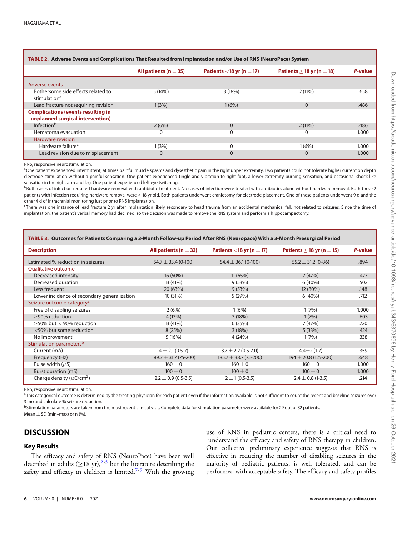| <u>IADLE 2. Auverse Events and Compileations That Resulted Hom implantation and/or Ose of RNS (Neuronace) System</u> |                           |                             |                                |         |  |
|----------------------------------------------------------------------------------------------------------------------|---------------------------|-----------------------------|--------------------------------|---------|--|
|                                                                                                                      | All patients ( $n = 35$ ) | Patients $<$ 18 yr (n = 17) | Patients $\geq$ 18 yr (n = 18) | P-value |  |
| Adverse events                                                                                                       |                           |                             |                                |         |  |
| Bothersome side effects related to<br>stimulation <sup>a</sup>                                                       | 5(14%)                    | 3(18%)                      | $2(11\%)$                      | .658    |  |
| Lead fracture not requiring revision                                                                                 | 1(3%)                     | 1(6%)                       | 0                              | .486    |  |
| <b>Complications (events resulting in</b>                                                                            |                           |                             |                                |         |  |
| unplanned surgical intervention)                                                                                     |                           |                             |                                |         |  |
| Infection <sup>b</sup>                                                                                               | 2(6%)                     | $\Omega$                    | $2(11\%)$                      | .486    |  |
| Hematoma evacuation                                                                                                  |                           | 0                           | 0                              | 1.000   |  |
| Hardware revision                                                                                                    |                           |                             |                                |         |  |
| Hardware failure <sup>c</sup>                                                                                        | 1(3%)                     | 0                           | 1(6%)                          | 1.000   |  |
| Lead revision due to misplacement                                                                                    |                           | 0                           | $\Omega$                       | 1.000   |  |

#### <span id="page-7-0"></span>**TABLE 2. Adverse Events and Complications That Resulted from Implantation and/or Use of RNS (NeuroPace) System**

RNS, responsive neurostimulation.

<sup>a</sup>One patient experienced intermittent, at times painful muscle spasms and dysesthetic pain in the right upper extremity. Two patients could not tolerate higher current on depth electrode stimulation without a painful sensation. One patient experienced tingle and vibration to right foot, a lower-extremity burning sensation, and occasional shock-like sensation in the right arm and leg. One patient experienced left eve twitching.

**BBoth cases of infection required hardware removal with antibiotic treatment. No cases of infection were treated with antibiotics alone without hardware removal. Both these 2** patients with infection requiring hardware removal were ≥ 18 yr old. Both patients underwent craniotomy for electrode placement. One of these patients underwent 9 d and the other 4 d of intracranial monitoring just prior to RNS implantation.

cThere was one instance of lead fracture 2 yr after implantation likely secondary to head trauma from an accidental mechanical fall, not related to seizures. Since the time of implantation, the patient's verbal memory had declined, so the decision was made to remove the RNS system and perform a hippocampectomy.

<span id="page-7-1"></span>

| TABLE 3. Outcomes for Patients Comparing a 3-Month Follow-up Period After RNS (Neuropace) With a 3-Month Presurgical Period |                             |                             |                                |         |
|-----------------------------------------------------------------------------------------------------------------------------|-----------------------------|-----------------------------|--------------------------------|---------|
| <b>Description</b>                                                                                                          | All patients ( $n = 32$ )   | Patients <18 yr $(n = 17)$  | Patients $\geq$ 18 yr (n = 15) | P-value |
| Estimated % reduction in seizures                                                                                           | $54.7 \pm 33.4$ (0-100)     | 54.4 $\pm$ 36.1 (0-100)     | $55.2 \pm 31.2$ (0-86)         | .894    |
| <b>Oualitative outcome</b>                                                                                                  |                             |                             |                                |         |
| Decreased intensity                                                                                                         | 16 (50%)                    | 11(65%)                     | 7(47%)                         | .477    |
| Decreased duration                                                                                                          | 13 (41%)                    | 9(53%)                      | 6(40%)                         | .502    |
| Less frequent                                                                                                               | 20 (63%)                    | 9(53%)                      | 12 (80%)                       | .148    |
| Lower incidence of secondary generalization                                                                                 | 10 (31%)                    | 5(29%)                      | 6(40%)                         | .712    |
| Seizure outcome category <sup>a</sup>                                                                                       |                             |                             |                                |         |
| Free of disabling seizures                                                                                                  | 2(6%)                       | 1(6%)                       | 1(7%)                          | 1.000   |
| >90% reduction                                                                                                              | 4(13%)                      | 3(18%)                      | 1(7%)                          | .603    |
| $>$ 50% but $<$ 90% reduction                                                                                               | 13 (41%)                    | 6(35%)                      | 7(47%)                         | .720    |
| $<$ 50% but some reduction                                                                                                  | 8(25%)                      | 3(18%)                      | 5(33%)                         | .424    |
| No improvement                                                                                                              | 5(16%)                      | 4 (24%)                     | 1(7%)                          | .338    |
| Stimulation parameters <sup>b</sup>                                                                                         |                             |                             |                                |         |
| Current (mA)                                                                                                                | $4 \pm 2.1 (0.5 - 7)$       | $3.7 \pm 2.2$ (0.5-7.0)     | $4.4 \pm 2(1 - 7)$             | .359    |
| Frequency (Hz)                                                                                                              | $189.7 \pm 31.7 (75 - 200)$ | $185.7 \pm 38.7 (75 - 200)$ | $194 \pm 20.8$ (125-200)       | .648    |
| Pulse width $(\mu S)$                                                                                                       | $160 \pm 0$                 | $160 \pm 0$                 | $160 \pm 0$                    | 1.000   |
| Burst duration (mS)                                                                                                         | $100 \pm 0$                 | $100 \pm 0$                 | $100 \pm 0$                    | 1.000   |
| Charge density ( $\mu$ C/cm <sup>2</sup> )                                                                                  | $2.2 \pm 0.9$ (0.5-3.5)     | $2 \pm 1 (0.5 - 3.5)$       | $2.4 \pm 0.8$ (1-3.5)          | .214    |

RNS, responsive neurostimulation.

<sup>a</sup>This categorical outcome is determined by the treating physician for each patient even if the information available is not sufficient to count the recent and baseline seizures over 3 mo and calculate % seizure reduction.

<sup>b</sup>Stimulation parameters are taken from the most recent clinical visit. Complete data for stimulation parameter were available for 29 out of 32 patients. Mean  $+$  SD (min–max) or n  $(%)$ .

## **DISCUSSION**

#### **Key Results**

The efficacy and safety of RNS (NeuroPace) have been well described in adults ( $\geq$ 18 yr),<sup>[2-](#page-9-1)[5](#page-9-5)</sup> but the literature describing the safety and efficacy in children is limited.<sup>[7](#page-9-3)[-9](#page-9-4)</sup> With the growing use of RNS in pediatric centers, there is a critical need to understand the efficacy and safety of RNS therapy in children. Our collective preliminary experience suggests that RNS is effective in reducing the number of disabling seizures in the majority of pediatric patients, is well tolerated, and can be performed with acceptable safety. The efficacy and safety profiles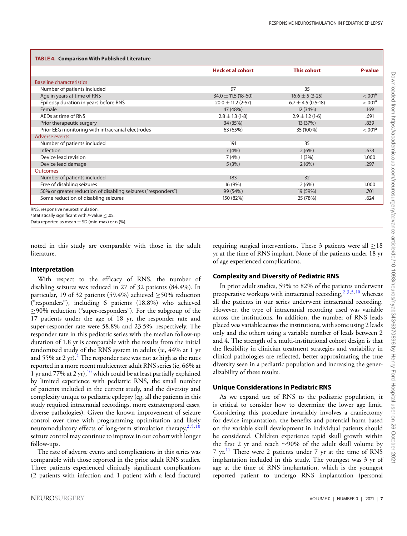<span id="page-8-0"></span>

|                                                               | <b>Heck et al cohort</b> | <b>This cohort</b>     | P-value              |
|---------------------------------------------------------------|--------------------------|------------------------|----------------------|
| <b>Baseline characteristics</b>                               |                          |                        |                      |
| Number of patients included                                   | 97                       | 35                     |                      |
| Age in years at time of RNS                                   | $34.0 \pm 11.5$ (18-60)  | $16.6 \pm 5 (3-25)$    | < 0.001a             |
| Epilepsy duration in years before RNS                         | $20.0 \pm 11.2$ (2-57)   | $6.7 \pm 4.5$ (0.5-18) | < 0.001 <sup>a</sup> |
| Female                                                        | 47 (48%)                 | 12 (34%)               | .169                 |
| AEDs at time of RNS                                           | $2.8 \pm 1.3$ (1-8)      | $2.9 \pm 1.2$ (1-6)    | .691                 |
| Prior therapeutic surgery                                     | 34 (35%)                 | 13 (37%)               | .839                 |
| Prior EEG monitoring with intracranial electrodes             | 63 (65%)                 | 35 (100%)              | < 0.001a             |
| Adverse events                                                |                          |                        |                      |
| Number of patients included                                   | 191                      | 35                     |                      |
| Infection                                                     | 7(4%)                    | 2(6%)                  | .633                 |
| Device lead revision                                          | 7(4%)                    | 1(3%)                  | 1.000                |
| Device lead damage                                            | 5(3%)                    | 2(6%)                  | .297                 |
| <b>Outcomes</b>                                               |                          |                        |                      |
| Number of patients included                                   | 183                      | 32                     |                      |
| Free of disabling seizures                                    | 16 (9%)                  | 2(6%)                  | 1.000                |
| 50% or greater reduction of disabling seizures ("responders") | 99 (54%)                 | 19 (59%)               | .701                 |
| Some reduction of disabling seizures                          | 150 (82%)                | 25 (78%)               | .624                 |

Statistically significant with P-value  $\leq$  .05.

Data reported as mean  $\pm$  SD (min-max) or n (%).

noted in this study are comparable with those in the adult literature.

#### **Interpretation**

With respect to the efficacy of RNS, the number of disabling seizures was reduced in 27 of 32 patients (84.4%). In particular, 19 of 32 patients (59.4%) achieved  $\geq$  50% reduction ("responders"), including 6 patients (18.8%) who achieved ≥90% reduction ("super-responders"). For the subgroup of the 17 patients under the age of 18 yr, the responder rate and super-responder rate were 58.8% and 23.5%, respectively. The responder rate in this pediatric series with the median follow-up duration of 1.8 yr is comparable with the results from the initial randomized study of the RNS system in adults (ie, 44% at 1 yr and 55% at [2](#page-9-1) yr).<sup>2</sup> The responder rate was not as high as the rates reported in a more recent multicenter adult RNS series (ie, 66% at 1 yr and 77% at 2 yr),  $10^{\circ}$  $10^{\circ}$  which could be at least partially explained by limited experience with pediatric RNS, the small number of patients included in the current study, and the diversity and complexity unique to pediatric epilepsy (eg, all the patients in this study required intracranial recordings, more extratemporal cases, diverse pathologies). Given the known improvement of seizure control over time with programming optimization and likely neuromodulatory effects of long-term stimulation therapy, $2,5,10$  $2,5,10$  $2,5,10$ seizure control may continue to improve in our cohort with longer follow-ups.

The rate of adverse events and complications in this series was comparable with those reported in the prior adult RNS studies. Three patients experienced clinically significant complications (2 patients with infection and 1 patient with a lead fracture)

requiring surgical interventions. These 3 patients were all  $\geq$ 18 yr at the time of RNS implant. None of the patients under 18 yr of age experienced complications.

## **Complexity and Diversity of Pediatric RNS**

In prior adult studies, 59% to 82% of the patients underwent preoperative workups with intracranial recording,  $2,3,5,10$  $2,3,5,10$  $2,3,5,10$  $2,3,5,10$  whereas all the patients in our series underwent intracranial recording. However, the type of intracranial recording used was variable across the institutions. In addition, the number of RNS leads placed was variable across the institutions, with some using 2 leads only and the others using a variable number of leads between 2 and 4. The strength of a multi-institutional cohort design is that the flexibility in clinician treatment strategies and variability in clinical pathologies are reflected, better approximating the true diversity seen in a pediatric population and increasing the generalizability of these results.

#### **Unique Considerations in Pediatric RNS**

As we expand use of RNS to the pediatric population, it is critical to consider how to determine the lower age limit. Considering this procedure invariably involves a craniectomy for device implantation, the benefits and potential harm based on the variable skull development in individual patients should be considered. Children experience rapid skull growth within the first 2 yr and reach ∼90% of the adult skull volume by 7 yr.<sup>[11](#page-9-8)</sup> There were 2 patients under 7 yr at the time of RNS implantation included in this study. The youngest was 3 yr of age at the time of RNS implantation, which is the youngest reported patient to undergo RNS implantation (personal